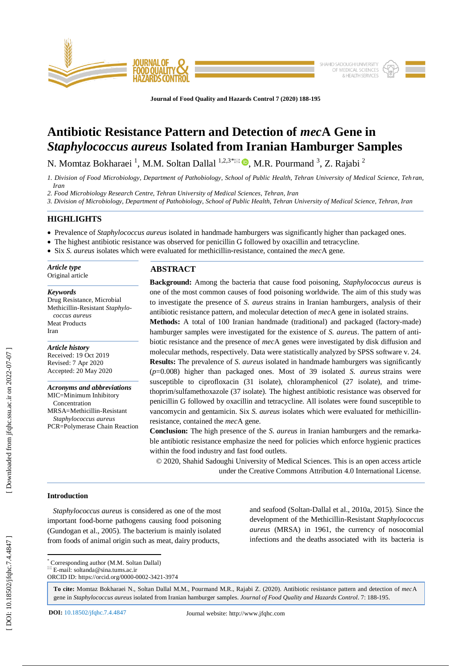

**Journal of Food Quality and Hazards Control 7 (2020) 188 -195**

# **Antibiotic Resistance Pattern and Detection of** *mec***A Gene in**  *Staphylococcus aureus* **Isolated from Iranian Hamburger Samples**

N. Momtaz Bokharaei<sup>1</sup>, M.M. Soltan Dallal<sup>1,2,3\*</sup> $\blacksquare$ , M.R. Pourmand<sup>3</sup>, Z. Rajabi<sup>2</sup>

*1. Division of Food Microbiology, Department of Pathobiology, School of Public Health, Tehran University of Medical Science, Teh ran, Iran*

*2. Food Microbiology Research Centre, Tehran University of Medical Sciences, Tehran, Iran*

*3. Division of Microbiology, Department of Pathobiology, School of Public Health, Tehran University of Medical Science, Tehran, Iran*

## **HIGHLIGHTS**

- Prevalence of *Staphylococcus aureus* isolated in handmade hamburgers was significantly higher than packaged ones.
- The highest antibiotic resistance was observed for penicillin G followed by oxacillin and tetracycline.
- Six *S. aureus* isolates which were evaluated for methicillin-resistance, contained the *mec*A gene.

*Article type* Original article

Iran

*Keywords* Drug Resistance, Microbial Methicillin -Resistant *Staphylococcus aureus* Meat Products

*Article history* Received: 19 Oct 2019 Revised: 7 Apr 2020 Accepted: 2 0 May 2020

*Acronyms and abbreviations* MIC=Minimum Inhibitory Concentration MRSA=Methicillin -Resistant *Staphylococcus aureus* PCR=Polymerase Chain Reaction

# **ABSTRACT**

**Background:** Among the bacteria that cause food poisoning, *Staphylococcus aureus* is one of the most common causes of food poisoning worldwide. The aim of this study was to investigate the presence of *S. aureus* strains in Iranian hamburger s, analysis of their antibiotic resistance pattern, and molecular detection of *mec*A gene in isolated strains.

**Methods:** A total of 100 Iranian handmade (traditional) and packaged (factory -made) hamburger samples were investigated for the existence of *S. aureus*. The pattern of antibiotic resistance and the presence of *mec*A genes were investigated by disk diffusion and molecular methods, respectively. Data were statistically analyzed by SPSS software v. 24. **Results:** The prevalence of *S. aureus* isolated in handmade hamburgers was significantly (*p*=0.008) higher than packaged ones. Most of 39 isolated *S. aureus* strains were susceptible to ciprofloxacin (31 isolate), chloramphenicol (27 isolate), and trimethoprim/sulfamethoxazole (37 isolate). The highest antibiotic resistance was observed for penicillin G followed by oxacillin and tetracycline. All isolates were found susceptible to vancomycin and gentamicin. Six *S. aureus* isolates which were evaluated for methicillin resistance, contained the *mec*A gene.

**Conclusion:** The high presence of the *S. aureus* in Iranian hamburgers and the remarkable antibiotic resistance emphasize the need for policies which enforce hygienic practices within the food industry and fast food outlets.

© 2020, Shahid Sadoughi University of Medical Sciences. This is an open access article under the Creative Commons Attribution 4.0 International License.

## **Introduction**

 *Staphylococcus aureus* is considered as one of the most important food -borne pathogens causing food poisoning (Gundogan et al., 2005). The bacterium is mainly isolated from foods of animal origin such as meat, dairy products,

and seafood (Soltan -Dallal et al., 2010a, 2015). Since the development of the Methicillin -Resistant *Staphylococcus aureus* (MRSA) in 1961, the currency of nosocomial infections and the deaths associated with its bacteria is

\* Corresponding author (M.M. Soltan Dallal)

 $\overline{\mathbb{E}}$  E-mail: soltanda@sina.tums.ac.ir ORCID ID: https://orcid.org/0000 -0002 -3421 -3974

**To cite:** Momtaz Bokharaei N., Soltan Dallal M.M., Pourmand M.R., Rajabi Z. (2020). Antibiotic resistance pattern and detection of *mec*A gene in *Staphylococcus aureus* isolated from Iranian hamburger samples. *Journal of Food Quality and Hazards Control*. 7: 188 -195 .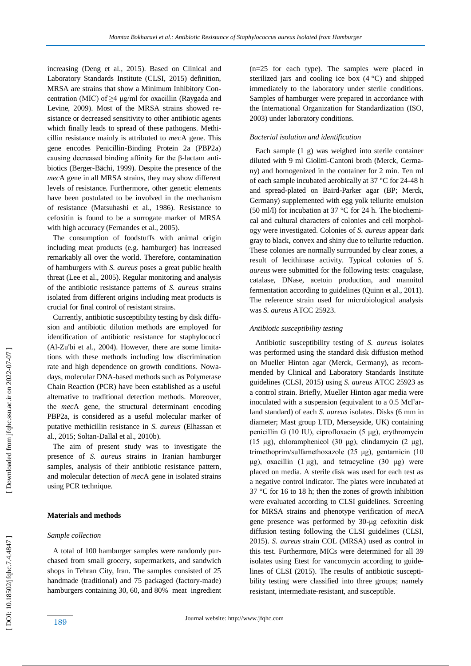increasing (Deng et al., 2015). Based on Clinical and Laboratory Standards Institute (CLSI, 2015) definition, MRSA are strains that show a Minimum Inhibitory Concentration (MIC) of ≥4 μg/ml for oxacillin (Raygada and Levine, 2009). Most of the MRSA strains showed resistance or decreased sensitivity to other antibiotic agents which finally leads to spread of these pathogens. Methicillin resistance mainly is attributed to *mec*A gene. This gene encodes Penicillin -Binding Protein 2a (PBP2a) causing decreased binding affinity for the β -lactam antibiotics (Berger-Bächi, 1999). Despite the presence of the *mec*A gene in all MRSA strains, they may show different levels of resistance. Furthermore, other genetic elements have been postulated to be involved in the mechanism of resistance (Matsuhashi et al., 1986). Resistance to cefoxitin is found to be a surrogate marker of MRSA with high accuracy (Fernandes et al., 2005).

 The consumption of foodstuffs with animal origin including meat products (e.g. hamburger) has increased remarkably all over the world. Therefore, contamination of hamburgers with *S. aureus* poses a great public health threat (Lee et al., 2005). Regular monitoring and analysis of the antibiotic resistance patterns of *S. aureus* strains isolated from different origins including meat products is crucial for final control of resistant strains.

 Currently, antibiotic susceptibility testing by disk diffusion and antibiotic dilution methods are employed for identification of antibiotic resistance for staphylococci (Al -Zu'bi et al., 2004). However, there are some limitations with these methods including low discrimination rate and high dependence on growth conditions. Nowadays, molecular DNA-based methods such as Polymerase Chain Reaction (PCR) have been established as a useful alternative to traditional detection methods. Moreover, the *mec*A gene, the structural determinant encoding PBP2a, is considered as a useful molecular marker of putative methicillin resistance in *S. aureus* (Elhassan et al., 2015; Soltan -Dallal et al., 2010b).

 The aim of present study was to investigate the presence of *S. aureus* strains in Iranian hamburger samples, analysis of their antibiotic resistance pattern, and molecular detection of *mec*A gene in isolated strains using PCR technique.

# **Materials and methods**

### *Sample collection*

 A total of 100 hamburger samples were randomly purchased from small grocery, supermarkets, and sandwich shops in Tehran City, Iran. The samples consisted of 25 handmade (traditional) and 75 packaged (factory -made) hamburgers containing 30, 60, and 80% meat ingredient

(n=25 for each type). The samples were placed in sterilized jars and cooling ice box (4 °C) and shipped immediately to the laboratory under sterile conditions. Samples of hamburger were prepared in accordance with the International Organization for Standardization (ISO, 2003) under laboratory conditions.

#### *Bacterial isolation and identification*

 Each sample (1 g) was weighed into sterile container diluted with 9 ml Giolitti -Cantoni broth (Merck, Germany) and homogenized in the container for 2 min. Ten ml of each sample incubated aerobically at 37 °C for 24 -48 h and spread -plated on Baird -Parker agar (BP; Merck, Germany) supplemented with egg yolk tellurite emulsion (50 ml/l) for incubation at 37 °C for 24 h. The biochemical and cultural characters of colonies and cell morphol ogy were investigated. Colonies of *S. aureus* appear dark gray to black, convex and shiny due to tellurite reduction. These colonies are normally surrounded by clear zones, a result of lecithinase activity. Typical colonies of *S. aureus* were submitted for the following tests: coagulase, catalase, DNase, acetoin production, and mannitol fermentation according to guidelines (Quinn et al., 2011). The reference strain used for microbiological analysis was *S. aureus* ATCC 25923.

## *Antibiotic susceptibility testing*

 Antibiotic susceptibility testing of *S. aureus* isolates was performed using the standard disk diffusion method on Mueller Hinton agar (Merck, Germany), as recommended by Clinical and Laboratory Standards Institute guidelines (CLSI, 2015) using *S. aureus* ATCC 25923 as a control strain. Briefly, Mueller Hinton agar media were inoculated with a suspension (equivalent to a 0.5 McFarland standard) of each *S. aureus* isolates. Disks (6 mm in diameter; Mast group LTD, Merseyside, UK) containing penicillin G (10 IU), ciprofloxacin (5 μg), erythromycin (15 μg), chloramphenicol (30 μg), clindamycin (2 μg), trimethoprim/sulfamethoxazole (25 μg), gentamicin (10 μg), oxacillin  $(1 \mu g)$ , and tetracycline  $(30 \mu g)$  were placed on media. A sterile disk was used for each test as a negative control indicator. The plates were incubated at 37 °C for 16 to 18 h; then the zones of growth inhibition were evaluated according to CLSI guidelines. Screening for MRSA strains and phenotype verification of *mec*A gene presence was performed by 30 -μg cefoxitin disk diffusion testing following the CLSI guidelines (CLSI, 2015). *S. aureus* strain COL (MRSA) used as control in this test. Furthermore, MICs were determined for all 39 isolates using Etest for vancomycin according to guidelines of CLSI (2015). The results of antibiotic susceptibility testing were classified into three groups; namely resistant, intermediate -resistan t, and susceptible.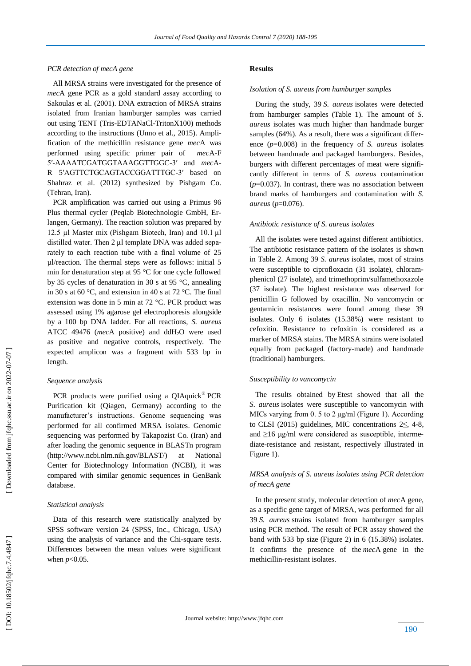## *PCR detection of mecA gene*

 All MRSA strains were investigated for the presence of *mec*A gene PCR as a gold standard assay according to Sakoulas et al. (2001). DNA extraction of MRSA strains isolated from Iranian hamburger samples was carried out using TENT (Tris -EDTANaCl -TritonX100) methods according to the instructions (Unno et al., 2015). Amplification of the methicillin resistance gene *mec*A was performed using specific primer pair of A -F 5′ -AAAATCGATGGTAAAGGTTGGC -3′ and *mec* A - R 5′AGTTCTGCAGTACCGGATTTGC -3′ based on Shahraz et al. (2012) synthesized by Pishgam Co . (Tehran, Iran).

 PCR amplification was carried out using a Primus 96 Plus thermal cycler (Peqlab Biotechnologie GmbH, Erlangen, Germany). The reaction solution was prepared by 12.5 µl Master mix (Pishgam Biotech, Iran) and 10.1 µl distilled water. Then 2 µl template DNA was added separately to each reaction tube with a final volume of 25 µl/reaction. The thermal steps were as follows: initial 5 min for denaturation step at 95 °C for one cycle followed by 35 cycles of denaturation in 30 s at 95 °C, annealing in 30 s at 60 °C, and extension in 40 s at 72 °C. The final extension was done in 5 min at 72 °C. PCR product was assessed using 1% agarose gel electrophoresis alongside by a 100 bp DNA ladder. For all reactions, *S. aureus*  ATCC 49476 (*mec*A positive) and ddH <sup>2</sup>O were used as positive and negative controls, respectively. The expected amplicon was a fragment with 533 bp in length.

#### *Sequence analysis*

 PCR products were purified using a QIAquick ® PCR Purification kit (Qiagen, Germany) according to the manufacturer's instructions. Genome sequencing was performed for all confirmed MRSA isolates. Genomic sequencing was performed by Takapozist Co. (Iran) and after loading the genomic sequence in BLASTn program (http://www.ncbi.nlm.nih.gov/BLAST/) at National Center for Biotechnology Information (NCBI), it was compared with similar genomic sequences in GenBank database.

## *Statistical analysis*

 Data of this research were statistically analyzed by SPSS software version 24 (SPSS, Inc., Chicago, USA) using the analysis of variance and the Chi-square tests. Differences between the mean values were significant when  $p<0.05$ .

## **Results**

#### *Isolation of S. aureus from hamburger samples*

 During the study, 39 *S. aureus* isolates were detected from hamburger samples (Table 1). The amount of *S. aureus* isolates was much higher than handmade burger samples (64%). As a result, there was a significant difference (*p*=0.008) in the frequency of *S. aureus* isolates between handmade and packaged hamburgers. Besides, burgers with different percentages of meat were significantly different in terms of *S. aureus* contamination (*p*=0.037). In contrast, there was no association between brand marks of hamburgers and contamination with *S. aureus*  (*p*=0.076).

### *Antibiotic resistance of S. aureus isolates*

 All the isolates were tested against different antibiotics. The antibiotic resistance pattern of the isolates is shown in Table 2. Among 39 *S. aureus* isolates, most of strains were susceptible to ciprofloxacin (31 isolate), chloramphenicol (27 isolate), and trimethoprim/sulfamethoxazole (37 isolate). The highest resistance was observed for penicillin G followed by oxacillin. No vancomycin or gentamicin resistances were found among these 39 isolates. Only 6 isolates (15.38%) were resistant to cefoxitin. Resistance to cefoxitin is considered as a marker of MRSA stains. The MRSA strains were isolated equally from packaged (factory -made) and handmade (traditional) hamburgers.

#### *Susceptibility to vancomycin*

 The results obtained by Etest showed that all the *S. aureus* isolates were susceptible to vancomycin with MICs varying from 0. 5 to 2 μg/ml (Figure 1). According to CLSI (2015) guidelines, MIC concentrations  $2 \leq 4-8$ , and  $\geq$ 16 μg/ml were considered as susceptible, intermediate-resistance and resistant, respectively illustrated in Figure 1).

# *MRSA analysis of S. aureus isolates using PCR detection of mecA gene*

 In the present study, molecular detection of *mec* A gene, as a specific gene target of MRSA, was performed for all 39 *S. aureus* strains isolated from hamburger samples using PCR method. The result of PCR assay showed the band with 533 bp size (Figure 2) in 6 (15.38%) isolates. It confirms the presence of the *mec* A gene in the methicillin -resistant isolates.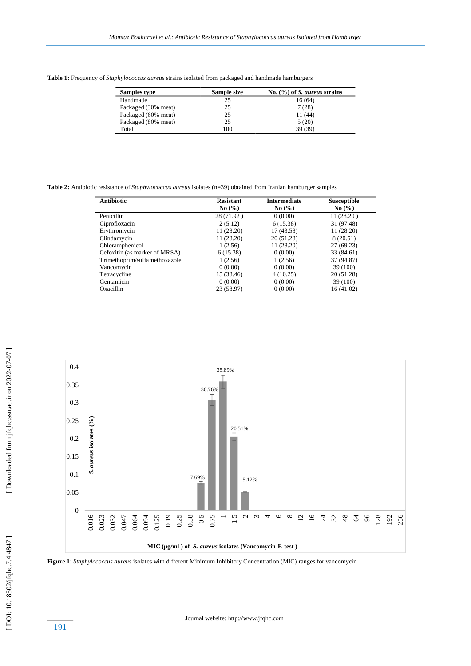**Table 1:** Frequency of *Staphylococcus aureus* strains isolated from packaged and handmade hamburgers

| Samples type        | Sample size | No. $(\% )$ of S. <i>aureus</i> strains |
|---------------------|-------------|-----------------------------------------|
| Handmade            | 25          | 16(64)                                  |
| Packaged (30% meat) | 25          | 7(28)                                   |
| Packaged (60% meat) | 25          | 11 (44)                                 |
| Packaged (80% meat) | 25          | 5(20)                                   |
| Total               | 100         | 39 (39)                                 |

**Table 2:** Antibiotic resistance of *Staphylococcus aureus* isolates (n=39) obtained from Iranian hamburger samples

| <b>Antibiotic</b>             | <b>Resistant</b><br>No(%) | <b>Intermediate</b><br>$\mathrm{No}$ (%) | <b>Susceptible</b><br>$\mathrm{No}(\% )$ |
|-------------------------------|---------------------------|------------------------------------------|------------------------------------------|
|                               |                           |                                          |                                          |
| Ciprofloxacin                 | 2(5.12)                   | 6(15.38)                                 | 31 (97.48)                               |
| Erythromycin                  | 11(28.20)                 | 17 (43.58)                               | 11(28.20)                                |
| Clindamycin                   | 11 (28.20)                | 20 (51.28)                               | 8 (20.51)                                |
| Chloramphenicol               | 1(2.56)                   | 11(28.20)                                | 27(69.23)                                |
| Cefoxitin (as marker of MRSA) | 6(15.38)                  | 0(0.00)                                  | 33 (84.61)                               |
| Trimethoprim/sulfamethoxazole | 1(2.56)                   | 1(2.56)                                  | 37 (94.87)                               |
| Vancomycin                    | 0(0.00)                   | 0(0.00)                                  | 39 (100)                                 |
| Tetracycline                  | 15 (38.46)                | 4(10.25)                                 | 20 (51.28)                               |
| Gentamicin                    | 0(0.00)                   | 0(0.00)                                  | 39 (100)                                 |
| Oxacillin                     | 23 (58.97)                | 0(0.00)                                  | 16(41.02)                                |



**Figure 1** : *Staphylococcus aureus* isolates with different Minimum Inhibitory Concentration (MIC) ranges for vancomycin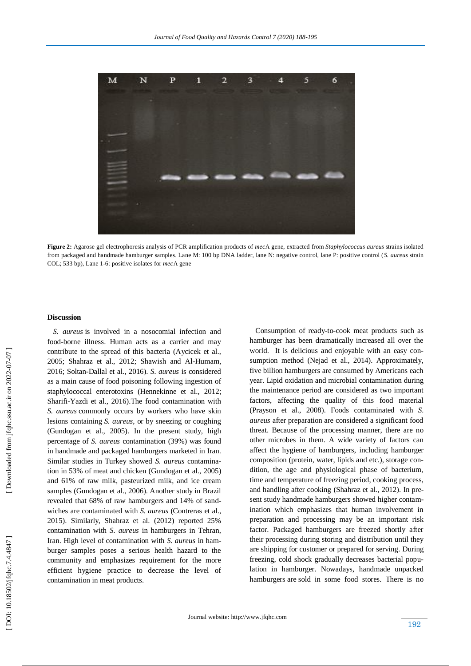

**Figure 2 :** Agarose gel electrophoresis analysis of PCR amplification products of *mec* A gene, extracted from *Staphylococcus aureus* strains isolated from packaged and handmade hamburger samples. Lane M: 100 bp DNA ladder, lane N: negative control, lane P: positive control (*S. aureus* strain COL; 533 bp), Lane 1 -6: positive isolates for *mec*A gene

#### **Discussion**

 *S. aureus* is involved in a nosocomial infection and food -borne illness. Human acts as a carrier and may contribute to the spread of this bacteria (Aycicek et al., 2005; Shahraz et al., 2012; Shawish and Al -Humam, 2016; Soltan -Dallal et al., 2016 ). *S. aureus* is considered as a main cause of food poisoning following ingestion of staphylococcal enterotoxins (Hennekinne et al., 2012; Sharifi -Yazdi et al., 2016).The food contamination with *S. aureus* commonly occurs by workers who have skin lesions containing *S. aureus*, or by sneezing or coughing (Gundogan et al., 2005). In the present study, high percentage of *S. aureus* contamination (39%) was found in handmade and packaged hamburgers marketed in Iran. Similar studies in Turkey showed *S. aureus* contamination in 53% of meat and chicken (Gundogan et al., 2005) and 61% of raw milk, pasteurized milk, and ice cream samples (Gundogan et al., 2006). Another study in Brazil revealed that 68% of raw hamburgers and 14% of sandwiches are contaminated with *S. aureus* (Contreras et al., 2015). Similarly, Shahraz et al. (2012) reported 25% contamination with *S. aureus* in hamburgers in Tehran, Iran. High level of contamination with *S. aureus* in hamburger samples poses a serious health hazard to the community and emphasizes requirement for the more efficient hygiene practice to decrease the level of contamination in meat products.

 Consumption of ready -to -cook meat products such as hamburger has been dramatically increased all over the world. It is delicious and enjoyable with an easy consumption method (Nejad et al., 2014). Approximately, five billion hamburgers are consumed by Americans each year. Lipid oxidation and microbial contamination during the maintenance period are considered as two important factors, affecting the quality of this food material (Prayson et al., 2008). Foods contaminated with *S* . *aureus* after preparation are considered a significant food threat. Because of the processing manner, there are no other microbes in them. A wide variety of factors can affect the hygiene of hamburgers, including hamburger composition (protein, water, lipids and etc.), storage condition, the age and physiological phase of bacterium, time and temperature of freezing period, cooking process, and handling after cooking (Shahraz et al., 2012). In present study handmade hamburgers showed higher contamination which emphasizes that human involvement in preparation and processing may be an important risk factor. Packaged hamburgers are freezed shortly after their processing during storing and distribution until they are shipping for customer or prepared for serving. During freezing, cold shock gradually decreases bacterial popu lation in hamburger. Nowadays, handmade unpacked hamburgers are sold in some food stores. There is no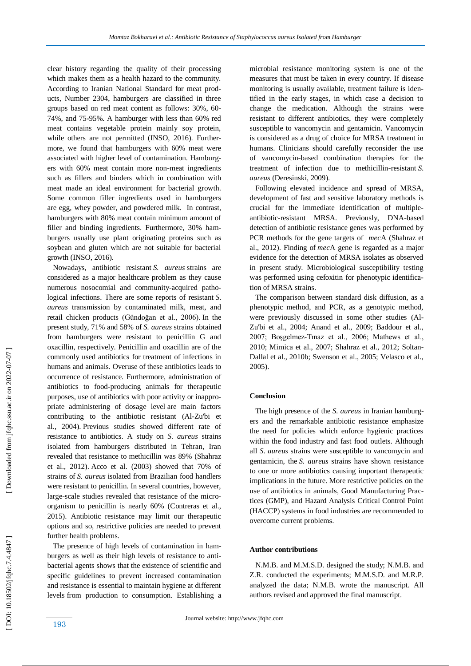clear history regarding the quality of their processing which makes them as a health hazard to the community. According to Iranian National Standard for meat products, Number 2304, hamburgers are classified in three groups based on red meat content as follows: 30%, 60 - 74%, and 75 -95%. A hamburger with less than 60% red meat contains vegetable protein mainly soy protein, while others are not permitted (INSO, 2016). Furthermore, we found that hamburgers with 60% meat were associated with higher level of contamination. Hamburgers with 60% meat contain more non-meat ingredients such as fillers and binders which in combination with meat made an ideal environment for bacterial growth. Some common filler ingredients used in hamburgers are egg, whey powder, and powdered milk. In contrast, hamburgers with 80% meat contain minimum amount of filler and binding ingredients. Furthermore, 30% hamburgers usually use plant originating proteins such as soybean and gluten which are not suitable for bacterial growth (INSO, 2016).

 Nowadays, antibiotic resistant *S. aureus* strains are considered as a major healthcare problem as they cause numerous nosocomial and community -acquired pathological infections. There are some reports of resistant *S. aureus* transmission by contaminated milk, meat, and retail chicken products (Gündoğan et al., 2006) . In the present study, 71% and 58% of *S. aureus* strains obtained from hamburgers were resistant to penicillin G and oxacillin, respectively. Penicillin and oxacillin are of the commonly used antibiotics for treatment of infections in humans and animals. Overuse of these antibiotics leads to occurrence of resistance. Furthermore, administration of antibiotics to food -producing animals for therapeutic purposes, use of antibiotics with poor activity or inappropriate administering of dosage level are main factors contributing to the antibiotic resistant (Al -Zu'bi et al., 2004) . Previous studies showed different rate of resistance to antibiotics. A study on *S. aureus* strains isolated from hamburgers distributed in Tehran, Iran revealed that resistance to methicillin was 89% (Shahraz et al., 2012) . Acco et al. (2003) showed that 70% of strains of *S. aureus* isolated from Brazilian food handlers were resistant to penicillin. In several countries, however, large -scale studies revealed that resistance of the microorganism to penicillin is nearly 60% (Contreras et al., 2015). Antibiotic resistance may limit our therapeutic options and so, restrictive policies are needed to prevent further health problems .

 The presence of high levels of contamination in hamburgers as well as their high levels of resistance to antibacterial agents shows that the existence of scientific and specific guidelines to prevent increased contamination and resistance is essential to maintain hygiene at different levels from production to consumption. Establishing a microbial resistance monitoring system is one of the measures that must be taken in every country. If disease monitoring is usually available, treatment failure is identified in the early stages, in which case a decision to change the medication. Although the strains were resistant to different antibiotics, they were completely susceptible to vancomycin and gentamicin. Vancomycin is considered as a drug of choice for MRSA treatment in humans. Clinicians should carefully reconsider the use of vancomycin -based combination therapies for the treatment of infection due to methicillin -resistant *S. aureus* (Deresinski, 2009) .

 Following elevated incidence and spread of MRSA, development of fast and sensitive laboratory methods is crucial for the immediate identification of multiple antibiotic -resistant MRSA. Previously, DNA -based detection of antibiotic resistance genes was performed by PCR methods for the gene targets of *mec*A (Shahraz et al., 2012). Finding of *mec*A gene is regarded as a major evidence for the detection of MRSA isolates as observed in present study. Microbiological susceptibility testing was performed using cefoxitin for phenotypic identification of MRSA strains.

 The comparison between standard disk diffusion, as a phenotypic method, and PCR, as a genotypic method, were previously discussed in some other studies (Al - Zu'bi et al., 2004; Anand et al., 2009; Baddour et al., 2007; Boşgelmez -Tınaz et al., 2006; Mathews et al., 2010; Mimica et al., 2007; Shahraz et al., 2012; Soltan - Dallal et al., 2010b; Swenson et al., 2005; Velasco et al., 2005) .

# **Conclusion**

 The high presence of the *S. aureus* in Iranian hamburgers and the remarkable antibiotic resistance emphasize the need for policies which enforce hygienic practices within the food industry and fast food outlets. Although all *S. aureus* strains were susceptible to vancomycin and gentamicin, the *S. aureus* strains have shown resistance to one or more antibiotics causing important therapeutic implications in the future. More restrictive policies on the use of antibiotics in animals, Good Manufacturing Practices (GMP), and Hazard Analysis Critical Control Point (HACCP) systems in food industries are recommended to overcome current problems.

## **Author contributions**

 N.M.B. and M.M.S.D. designed the study; N.M.B. and Z.R. conducted the experiments; M.M.S.D. and M.R.P. analyzed the data; N.M.B. wrote the manuscript. All authors revised and approved the final manuscript.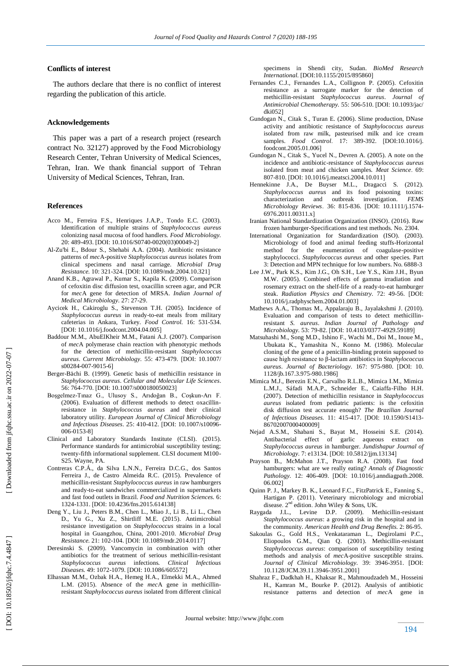#### **Conflicts of interest**

 The authors declare that there is no conflict of interest regarding the publication of this article.

#### **Acknowledgements**

 This paper was a part of a research project (research contract No. 32127) approved by the Food Microbiology Research Center, Tehran University of Medical Sciences, Tehran, Iran. We thank financial support of Tehran University of Medical Sciences, Tehran, Iran.

#### **Reference s**

- Acco M., Ferreira F.S., Henriques J.A.P., Tondo E.C. (2003). Identification of multiple strains of *Staphylococcus aureus* colonizing nasal mucosa of food handlers. *Food Microbiology.*  20: 489 -493. [DOI: 10.1016/S0740 [-0020\(03\)00049](https://doi.org/10.1016/S0740-0020\(03\)00049-2) - 2 [
- Al -Zu'bi E., Bdour S., Shehabi A.A. (2004). Antibiotic resistance patterns of *mec* A -positive *Staphylococcus aureus* isolates from clinical specimens and nasal carriage. *Microbial Drug*  Resistance. 10: 321-324. [DOI: 10.1089/mdr.2004.10.321]
- Anand K.B., Agrawal P., Kumar S., Kapila K. (2009). Comparison of cefoxitin disc diffusion test, oxacillin screen agar, and PCR for *mec*A gene for detection of MRSA. *Indian Journal of Medical Microbiology.* 27: 27 -29.
- Aycicek H., Cakiroglu S., Stevenson T.H. (2005). Incidence of *Staphylococcus aureus* in ready -to -eat meals from military cafeterias in Ankara, Turkey. *Food Control.* 16: 531 -534. [DOI: 10.1016/j.foodcont.2004.04.005]
- Baddour M.M., AbuElKheir M.M., Fatani A.J. (2007). Comparison of *mec* A polymerase chain reaction with phenotypic methods for the detection of methicillin -resistant *Staphylococcus aureus*. *Current Microbiology.* 55: 473 -479. ]DOI: 10.1007/ s00284-007-9015-6]
- Berger -Bächi B. (1999). Genetic basis of methicillin resistance in *Staphylococcus aureus*. *Cellular and Molecular Life Sciences*. 56: 764-770. [DOI[: 10.1007/s000180050023](https://doi.org/10.1007/s000180050023)]
- Boşgelmez -Tınaz G., Ulusoy S., Arıdoğan B., Coşkun -Arı F. (2006). Evaluation of different methods to detect oxacillin resistance in *Staphylococcus aureus* and their clinical laboratory utility. *European Journal of Clinical Microbiology*  and Infectious Diseases. 25: 410-412. [DOI: 10.1007/s10096-006-0153-8]
- Clinical and Laboratory Standards Institute (CLSI). (2015). Performance standards for antimicrobial susceptibility testing; twenty -fifth informational supplement. CLSI document M100 - S25. Wayne, PA.
- Contreras C.P.Á., da Silva L.N.N., Ferreira D.C.G., dos Santos Ferreira J., de Castro Almeida R.C. (2015). Prevalence of methicillin -resistant *Staphylococcus aureus* in raw hamburgers and ready -to -eat sandwiches commercialized in supermarkets and fast food outlets in Brazil. *Food and Nutrition Sciences.*  6: 1324 -1331. ]DOI: 10.4236/fns.2015.614138 [
- Deng Y., Liu J., Peters B.M., Chen L., Miao J., Li B., Li L., Chen D., Yu G., Xu Z., Shirtliff M.E. (2015). Antimicrobial resistance investigation on *Staphylococcus* strains in a local hospital in Guangzhou, China, 2001 -2010. *Microbial Drug*  Resistance. 21: 102-104. [DOI: 10.1089/mdr.2014.0117]
- Deresinski S. (2009). Vancomycin in combination with other antibiotics for the treatment of serious methicillin -resistant *Staphylococcus aureus* infections. *Clinical Infectious*  Diseases. 49: 1072-1079. [DOI: 10.1086/605572]
- Elhassan M.M., Ozbak H.A., Hemeg H.A., Elmekki M.A., Ahmed L.M. (2015). Absence of the *mec*A gene in methicillin resistant *Staphylococcus aureus* isolated from different clinical

specimens in Shendi city, Sudan. *BioMed Research International.* [DOI:10.1155/2015/895860 [

- Fernandes C.J., Fernandes L.A., Collignon P. (2005). Cefoxitin resistance as a surrogate marker for the detection of methicillin -resistant *Staphylococcus aureus*. *Journal of Antimicrobial Chemotherapy.* 55: 506 -510. ]DOI: 10.1093/jac/ dki052]
- Gundogan N., Citak S., Turan E. (2006). Slime production, DNase activity and antibiotic resistance of *Staphylococcus aureus* isolated from raw milk, pasteurised milk and ice cream samples. Food Control. 17: 389-392. [DOI:10.1016/j. foodcont.2005.01.006 [
- Gundogan N., Citak S., Yucel N., Devren A. (2005). A note on the incidence and antibiotic -resistance of *Staphylococcus aureus* isolated from meat and chicken samples. *Meat Science* . 69: 807-810. [DOI: 10.1016/j.meatsci.2004.10.011]
- Hennekinne J.A., De Buyser M.L., Dragacci S. (2012). *Staphylococcus aureus* and its food poisoning toxins: characterization and outbreak investigation. *FEMS Microbiology Reviews* . 36: 815 -836. ]DOI: 10.1111/j.1574 - 6976.2011.00311.x [
- Iranian National Standardization Organization (INSO). (2016). Raw frozen hamburger -Specifications and test methods. No. 2304.
- International Organization for Standardization (ISO). (2003). Microbiology of food and animal feeding stuffs -Horizontal method for the enumeration of coagulase -positive staphylococci. *Staphylococcus aureus* and other species. Part 3: Detection and MPN technique for low numbers. No. 6888 - 3
- Lee J.W., Park K.S., Kim J.G., Oh S.H., Lee Y.S., Kim J.H., Byun M.W. (2005). Combined effects of gamma irradiation and rosemary extract on the shelf -life of a ready -to -eat hamburger steak. *Radiation Physics and Chemistry*. 72: 49-56. [DOI: 10.1016/j.radphyschem.2004.01.003 [
- Mathews A.A., Thomas M., Appalaraju B., Jayalakshmi J. (2010). Evaluation and comparison of tests to detect methicillin resistant *S. aureus*. *Indian Journal of Pathology and*  Microbiology. 53: 79-82. [DOI: 10.4103/0377-4929.59189]
- Matsuhashi M., Song M.D., Ishino F., Wachi M., Doi M., Inoue M., Ubukata K., Yamashita N., Konno M. (1986). Molecular cloning of the gene of a penicillin -binding protein supposed to cause high resistance to β -lactam antibiotics in S*taphylococcus aureus*. *Journal of Bacteriology.* 167: 975 -980. ]DOI: 10. 1128/jb.167.3.975 -980.1986 [
- Mimica M.J., Berezin E.N., Carvalho R.L.B., Mimica I.M., Mimica L.M.J., Sáfadi M.A.P., Schneider E., Caiaffa -Filho H.H. (2007). Detection of methicillin resistance in *Staphylococcus aureus* isolated from pediatric patients: is the cefoxitin disk diffusion test accurate enough? *The Brazilian Journal*  of Infectious Diseases. 11: 415-417. [DOI: 10.1590/S1413-86702007000400009 [
- Nejad A.S.M., Shabani S., Bayat M., Hosseini S.E. (2014). Antibacterial effect of garlic aqueous extract on *Staphylococcus aureus* in hamburger. *Jundishapur Journal of Microbiology*. 7: e13134. [DOI: 10.5812/jjm.13134]
- Prayson B., McMahon J.T., Prayson R.A. (2008). Fast food hamburgers: what are we really eating? *Annals of Diagnostic*  Pathology. 12: 406-409. [DOI: 10.1016/j.anndiagpath.2008. 06.002 [
- Quinn P. J., Markey B. K., Leonard F.C., FitzPatrick E., Fanning S., Hartigan P. (2011). Veterinary microbiology and microbial disease. 2<sup>nd</sup> edition. John Wiley & Sons, UK.
- Raygada J.L., Levine D.P. (2009). Methicillin -resistant *Staphylococcus aureus*: a growing risk in the hospital and in the community. *American Health and Drug Benefits.*  2: 86 -95.
- Sakoulas G., Gold H.S., Venkataraman L., Degirolami P.C., Eliopoulos G.M., Qian Q. (2001). Methicillin -resistant *Staphylococcus aureus*: comparison of susceptibility testing methods and analysis of *mec* A -positive susceptible strains. *Journal of Clinical Microbiology.* 39: 3946 -3951. [DOI: 10.1128/JCM.39.11.3946 -3951.2001 [
- Shahraz F., Dadkhah H., Khaksar R., Mahmoudzadeh M., Hosseini H., Kamran M., Bourke P. (2012). Analysis of antibiotic resistance patterns and detection of *mec* Agene in